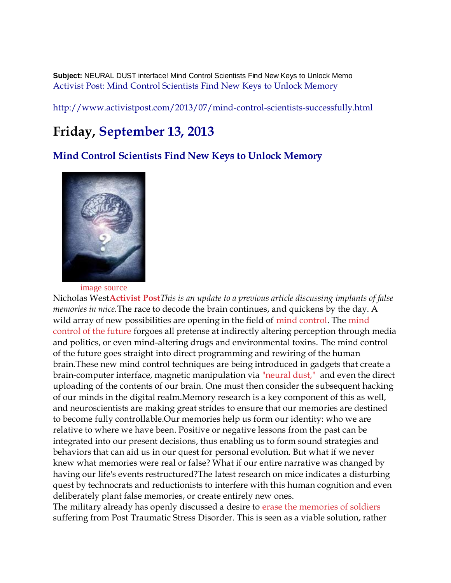**Subject:** NEURAL DUST interface! Mind Control Scientists Find New Keys to Unlock Memo [Activist Post: Mind Control Scientists Find New Keys to Unlock Memory](http://www.activistpost.com/2013/07/mind-control-scientists-successfully.html)

<http://www.activistpost.com/2013/07/mind-control-scientists-successfully.html>

## **Friday, September 13, 2013**

**[Mind Control Scientists Find New Keys to Unlock Memory](http://www.activistpost.com/2013/07/mind-control-scientists-successfully.html)**



[image source](http://faculty.mercer.edu/spears_a/studentpages/falsememories/clairesteinbeck.htm)

Nicholas West**[Activist Post](http://www.activistpost.com/2013/07/new-brain-implant-unveiled-false.html)***This is an update to a previous article discussing implants of false memories in mice.*The race to decode the brain continues, and quickens by the day. A wild array of new possibilities are opening in the field of [mind control.](http://www.activistpost.com/2013/06/7-future-methods-of-mind-control.html) The mind [control of the future](http://www.activistpost.com/2013/06/7-future-methods-of-mind-control.html) forgoes all pretense at indirectly altering perception through media and politics, or even mind-altering drugs and environmental toxins. The mind control of the future goes straight into direct programming and rewiring of the human brain.These new mind control techniques are being introduced in gadgets that create a brain-computer interface, magnetic manipulation via ["neural dust,"](http://www.activistpost.com/2013/07/literal-smart-dust-opens-brain-computer.html) and even the direct uploading of the contents of our brain. One must then consider the subsequent hacking of our minds in the digital realm.Memory research is a key component of this as well, and neuroscientists are making great strides to ensure that our memories are destined to become fully controllable.Our memories help us form our identity: who we are relative to where we have been. Positive or negative lessons from the past can be integrated into our present decisions, thus enabling us to form sound strategies and behaviors that can aid us in our quest for personal evolution. But what if we never knew what memories were real or false? What if our entire narrative was changed by having our life's events restructured?The latest research on mice indicates a disturbing quest by technocrats and reductionists to interfere with this human cognition and even deliberately plant false memories, or create entirely new ones.

The military already has openly discussed a desire to [erase the memories of](http://www.wired.com/dangerroom/2011/12/fear-erasing-drugs/) soldiers suffering from Post Traumatic Stress Disorder. This is seen as a viable solution, rather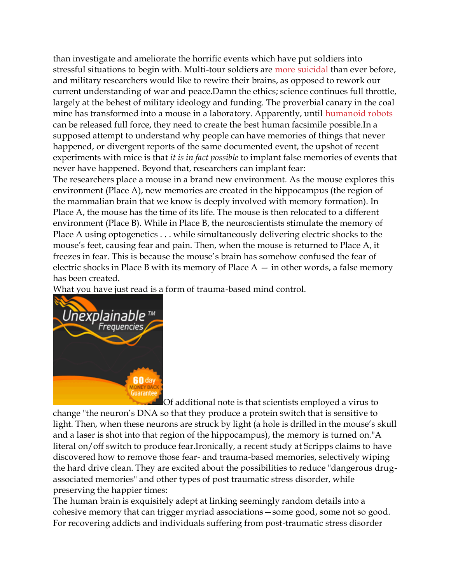than investigate and ameliorate the horrific events which have put soldiers into stressful situations to begin with. Multi-tour soldiers are [more suicidal](http://www.nytimes.com/2013/05/16/us/baffling-rise-in-suicides-plagues-us-military.html?pagewanted=all&_r=0) than ever before, and military researchers would like to rewire their brains, as opposed to rework our current understanding of war and peace.Damn the ethics; science continues full throttle, largely at the behest of military ideology and funding. The proverbial canary in the coal mine has transformed into a mouse in a laboratory. Apparently, until [humanoid robots](http://www.activistpost.com/2013/07/the-evolution-of-humanoid-robot.html) can be released full force, they need to create the best human facsimile possible.In a supposed attempt to understand why people can have memories of things that never happened, or divergent reports of the same documented event, the upshot of recent experiments with mice is that *it is in fact possible* to implant false memories of events that never have happened. Beyond that, researchers can implant fear:

The researchers place a mouse in a brand new environment. As the mouse explores this environment (Place A), new memories are created in the hippocampus (the region of the mammalian brain that we know is deeply involved with memory formation). In Place A, the mouse has the time of its life. The mouse is then relocated to a different environment (Place B). While in Place B, the neuroscientists stimulate the memory of Place A using optogenetics . . . while simultaneously delivering electric shocks to the mouse's feet, causing fear and pain. Then, when the mouse is returned to Place A, it freezes in fear. This is because the mouse's brain has somehow confused the fear of electric shocks in Place B with its memory of Place  $A - in$  other words, a false memory has been created.

What you have just read is a form of trauma-based mind control.



[O](http://activistpost.net/unexplainablefrequencies.html)f additional note is that scientists employed a virus to change "the neuron's DNA so that they produce a protein switch that is sensitive to light. Then, when these neurons are struck by light (a hole is drilled in the mouse's skull and a laser is shot into that region of the hippocampus), the memory is turned on."A literal on/off switch to produce fear.Ironically, a recent study at Scripps claims to have discovered how to remove those fear- and trauma-based memories, selectively wiping the hard drive clean. They are excited about the possibilities to reduce "dangerous drugassociated memories" and other types of post traumatic stress disorder, while preserving the happier times:

The human brain is exquisitely adept at linking seemingly random details into a cohesive memory that can trigger myriad associations—some good, some not so good. For recovering addicts and individuals suffering from post-traumatic stress disorder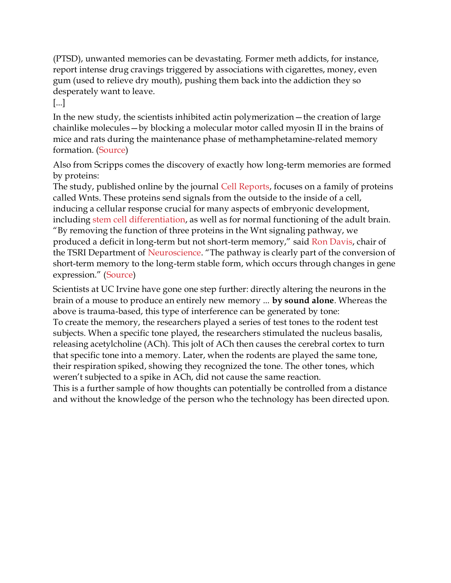(PTSD), unwanted memories can be devastating. Former meth addicts, for instance, report intense drug cravings triggered by associations with cigarettes, money, even gum (used to relieve dry mouth), pushing them back into the addiction they so desperately want to leave.

[...]

In the new study, the scientists inhibited actin polymerization—the creation of large chainlike molecules—by blocking a molecular motor called myosin II in the brains of mice and rats during the maintenance phase of methamphetamine-related memory formation. [\(Source\)](http://www.33rdsquare.com/2013/09/eternal-sunshine-of-spotless-mind.html)

Also from Scripps comes the discovery of exactly how long-term memories are formed by proteins:

The study, published online by the journal [Cell Reports,](http://cellreports.cell.com/) focuses on a family of proteins called Wnts. These proteins send signals from the outside to the inside of a cell, inducing a cellular response crucial for many aspects of embryonic development, including [stem cell differentiation,](http://www.33rdsquare.com/2013/02/stem-cell-differentiation-research-may.html) as well as for normal functioning of the adult brain. "By removing the function of three proteins in the Wnt signaling pathway, we produced a deficit in long-term but not short-term memory," said [Ron Davis,](http://rover.ebay.com/rover/1/711-53200-19255-0/1?toolid=10029&campid=CAMPAIGNID&customid=CUSTOMID&catId=267&type=2&ext=271266273309&item=271266273309) chair of the TSRI Department of [Neuroscience](http://www.bizrate.com/neuroscience/index__af_assettype_id--4__af_creative_id--3__af_id--%5bAFF-ID%5d__af_placement_id--%5bAFF-PLACEMENT-ID%5d.html). "The pathway is clearly part of the conversion of short-term memory to the long-term stable form, which occurs through changes in gene expression." ([Source\)](http://www.33rdsquare.com/2013/09/researchers-identify-key-proteins.html)

Scientists at UC Irvine have gone one step further: directly altering the neurons in the brain of a mouse to produce an entirely new memory ... **by sound alone**. Whereas the above is trauma-based, this type of interference can be generated by tone:

To create the memory, the researchers played a series of test tones to the rodent test subjects. When a specific tone played, the researchers stimulated the nucleus basalis, releasing acetylcholine (ACh). This jolt of ACh then causes the cerebral cortex to turn that specific tone into a memory. Later, when the rodents are played the same tone, their respiration spiked, showing they recognized the tone. The other tones, which weren't subjected to a spike in ACh, did not cause the same reaction.

This is a further sample of how thoughts can potentially be controlled from a distance and without the knowledge of the person who the technology has been directed upon.